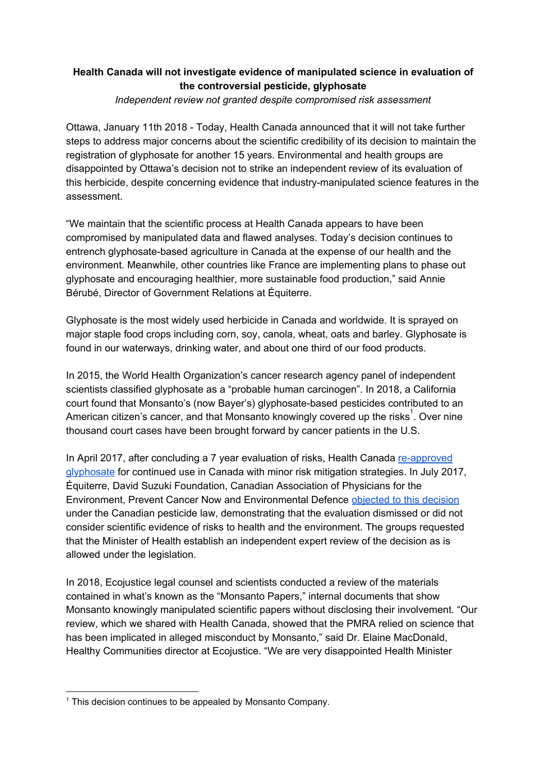## **Health Canada will not investigate evidence of manipulated science in evaluation of the controversial pesticide, glyphosate**

*Independent review not granted despite compromised risk assessment*

Ottawa, January 11th 2018 - Today, Health Canada announced that it will not take further steps to address major concerns about the scientific credibility of its decision to maintain the registration of glyphosate for another 15 years. Environmental and health groups are disappointed by Ottawa's decision not to strike an independent review of its evaluation of this herbicide, despite concerning evidence that industry-manipulated science features in the assessment.

"We maintain that the scientific process at Health Canada appears to have been compromised by manipulated data and flawed analyses. Today's decision continues to entrench glyphosate-based agriculture in Canada at the expense of our health and the environment. Meanwhile, other countries like France are implementing plans to phase out glyphosate and encouraging healthier, more sustainable food production," said Annie Bérubé, Director of Government Relations at Équiterre.

Glyphosate is the most widely used herbicide in Canada and worldwide. It is sprayed on major staple food crops including corn, soy, canola, wheat, oats and barley. Glyphosate is found in our waterways, drinking water, and about one third of our food products.

In 2015, the World Health Organization's cancer research agency panel of independent scientists classified glyphosate as a "probable human carcinogen". In 2018, a California court found that Monsanto's (now Bayer's) glyphosate-based pesticides contributed to an American citizen's cancer, and that Monsanto knowingly covered up the risks<sup>1</sup>. Over nine thousand court cases have been brought forward by cancer patients in the U.S.

In April 2017, after concluding a 7 year evaluation of risks, Health Canada [re-approved](https://www.canada.ca/en/health-canada/services/consumer-product-safety/reports-publications/pesticides-pest-management/decisions-updates/registration-decision/2017/glyphosate-rvd-2017-01.html) [glyphosate](https://www.canada.ca/en/health-canada/services/consumer-product-safety/reports-publications/pesticides-pest-management/decisions-updates/registration-decision/2017/glyphosate-rvd-2017-01.html) for continued use in Canada with minor risk mitigation strategies. In July 2017, Équiterre, David Suzuki Foundation, Canadian Association of Physicians for the Environment, Prevent Cancer Now and Environmental Defence [objected](https://equiterre.org/en/news/glyphosate-equiterre-and-partners-challenge-the-federal-governments-decision-and-file-a-notice-) to this decision under the Canadian pesticide law, demonstrating that the evaluation dismissed or did not consider scientific evidence of risks to health and the environment. The groups requested that the Minister of Health establish an independent expert review of the decision as is allowed under the legislation.

In 2018, Ecojustice legal counsel and scientists conducted a review of the materials contained in what's known as the "Monsanto Papers," internal documents that show Monsanto knowingly manipulated scientific papers without disclosing their involvement. "Our review, which we shared with Health Canada, showed that the PMRA relied on science that has been implicated in alleged misconduct by Monsanto," said Dr. Elaine MacDonald, Healthy Communities director at Ecojustice. "We are very disappointed Health Minister

<sup>&</sup>lt;sup>1</sup> This decision continues to be appealed by Monsanto Company.